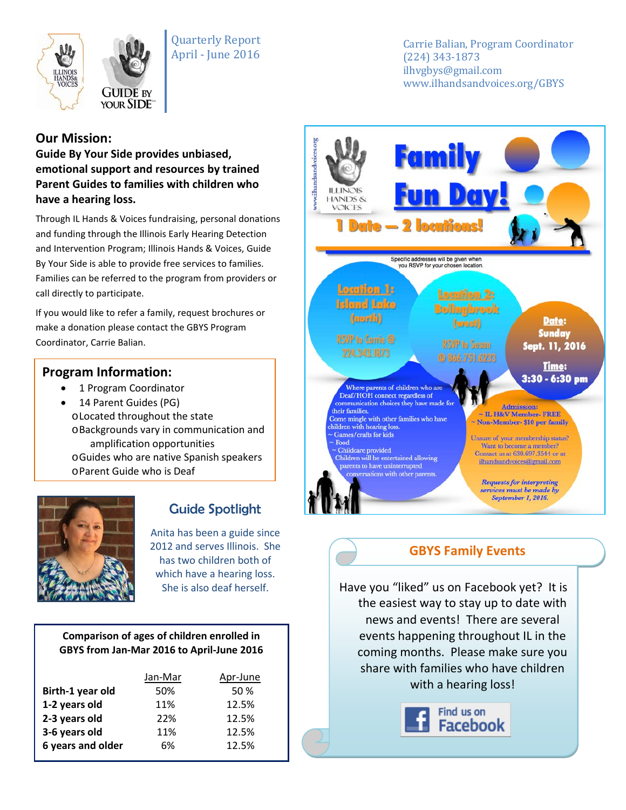



Carrie Balian, Program Coordinator (224) 343-1873 ilhvgbys@gmail.com www.ilhandsandvoices.org/GBYS

## **Our Mission:**

**Guide By Your Side provides unbiased, emotional support and resources by trained Parent Guides to families with children who have a hearing loss.** 

Through IL Hands & Voices fundraising, personal donations and funding through the Illinois Early Hearing Detection and Intervention Program; Illinois Hands & Voices, Guide By Your Side is able to provide free services to families. Families can be referred to the program from providers or call directly to participate.

If you would like to refer a family, request brochures or make a donation please contact the GBYS Program Coordinator, Carrie Balian.

### **Program Information:**

- 1 Program Coordinator
- 14 Parent Guides (PG) oLocated throughout the state oBackgrounds vary in communication and amplification opportunities oGuides who are native Spanish speakers oParent Guide who is Deaf



# Guide Spotlight

Anita has been a guide since 2012 and serves Illinois. She has two children both of which have a hearing loss.

#### **Comparison of ages of children enrolled in GBYS from Jan-Mar 2016 to April-June 2016**

| Jan-Mar | Apr-June |
|---------|----------|
| 50%     | 50 %     |
| 11%     | 12.5%    |
| 22%     | 12.5%    |
| 11%     | 12.5%    |
| 6%      | 12.5%    |
|         |          |



## **GBYS Family Events**

She is also deaf herself. **Have you "liked" us on Facebook yet?** It is the easiest way to stay up to date with news and events! There are several events happening throughout IL in the coming months. Please make sure you share with families who have children with a hearing loss!